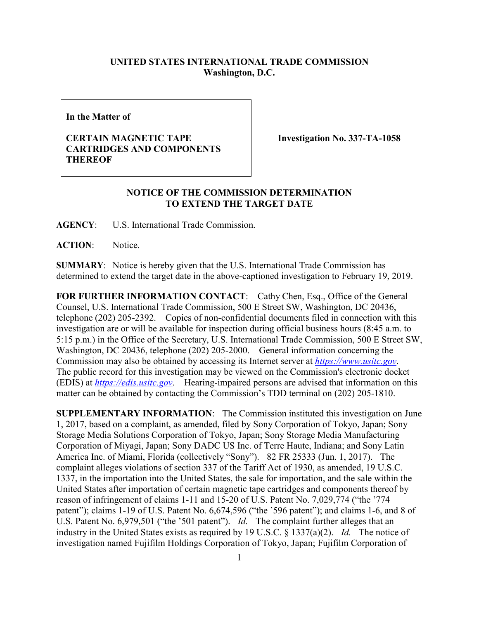## **UNITED STATES INTERNATIONAL TRADE COMMISSION Washington, D.C.**

**In the Matter of**

## **CERTAIN MAGNETIC TAPE CARTRIDGES AND COMPONENTS THEREOF**

**Investigation No. 337-TA-1058**

## **NOTICE OF THE COMMISSION DETERMINATION TO EXTEND THE TARGET DATE**

**AGENCY**: U.S. International Trade Commission.

**ACTION**: Notice.

**SUMMARY**: Notice is hereby given that the U.S. International Trade Commission has determined to extend the target date in the above-captioned investigation to February 19, 2019.

FOR FURTHER INFORMATION CONTACT: Cathy Chen, Esq., Office of the General Counsel, U.S. International Trade Commission, 500 E Street SW, Washington, DC 20436, telephone (202) 205-2392. Copies of non-confidential documents filed in connection with this investigation are or will be available for inspection during official business hours (8:45 a.m. to 5:15 p.m.) in the Office of the Secretary, U.S. International Trade Commission, 500 E Street SW, Washington, DC 20436, telephone (202) 205-2000. General information concerning the Commission may also be obtained by accessing its Internet server at *[https://www.usitc.gov](https://www.usitc.gov/)*. The public record for this investigation may be viewed on the Commission's electronic docket (EDIS) at *[https://edis.usitc.gov](https://edis.usitc.gov/)*. Hearing-impaired persons are advised that information on this matter can be obtained by contacting the Commission's TDD terminal on (202) 205-1810.

**SUPPLEMENTARY INFORMATION**: The Commission instituted this investigation on June 1, 2017, based on a complaint, as amended, filed by Sony Corporation of Tokyo, Japan; Sony Storage Media Solutions Corporation of Tokyo, Japan; Sony Storage Media Manufacturing Corporation of Miyagi, Japan; Sony DADC US Inc. of Terre Haute, Indiana; and Sony Latin America Inc. of Miami, Florida (collectively "Sony"). 82 FR 25333 (Jun. 1, 2017). The complaint alleges violations of section 337 of the Tariff Act of 1930, as amended, 19 U.S.C. 1337, in the importation into the United States, the sale for importation, and the sale within the United States after importation of certain magnetic tape cartridges and components thereof by reason of infringement of claims 1-11 and 15-20 of U.S. Patent No. 7,029,774 ("the '774 patent"); claims 1-19 of U.S. Patent No. 6,674,596 ("the '596 patent"); and claims 1-6, and 8 of U.S. Patent No. 6,979,501 ("the '501 patent"). *Id.* The complaint further alleges that an industry in the United States exists as required by 19 U.S.C. § 1337(a)(2). *Id.* The notice of investigation named Fujifilm Holdings Corporation of Tokyo, Japan; Fujifilm Corporation of